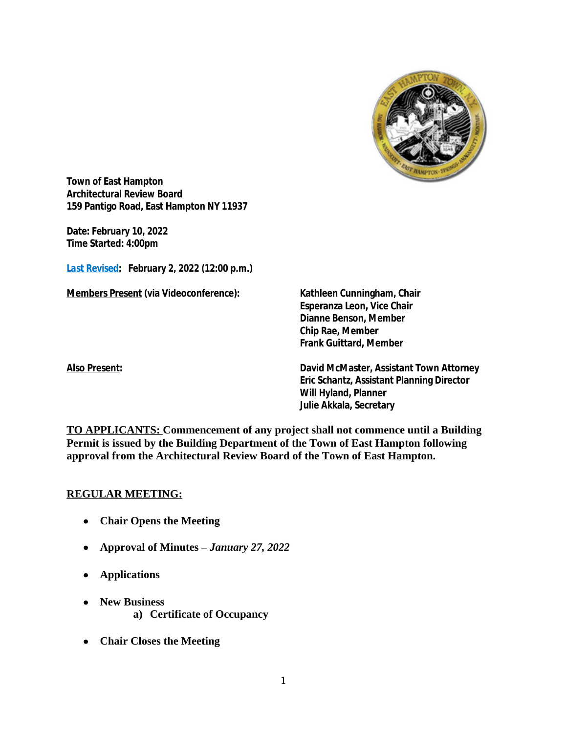

**Town of East Hampton Architectural Review Board 159 Pantigo Road, East Hampton NY 11937**

**Date:** *February 10, 2022* **Time Started: 4:00pm**

*Last Revised***:** *February 2, 2022 (12:00 p.m.)*

**Members Present (via Videoconference): Kathleen Cunningham, Chair**

**Esperanza Leon, Vice Chair Dianne Benson, Member Chip Rae, Member Frank Guittard, Member**

**Also Present: David McMaster, Assistant Town Attorney Eric Schantz, Assistant Planning Director Will Hyland, Planner Julie Akkala, Secretary**

**TO APPLICANTS: Commencement of any project shall not commence until a Building Permit is issued by the Building Department of the Town of East Hampton following approval from the Architectural Review Board of the Town of East Hampton.**

#### **REGULAR MEETING:**

- **Chair Opens the Meeting**
- **Approval of Minutes –** *January 27, 2022*
- **Applications**
- **New Business a) Certificate of Occupancy**
- **Chair Closes the Meeting**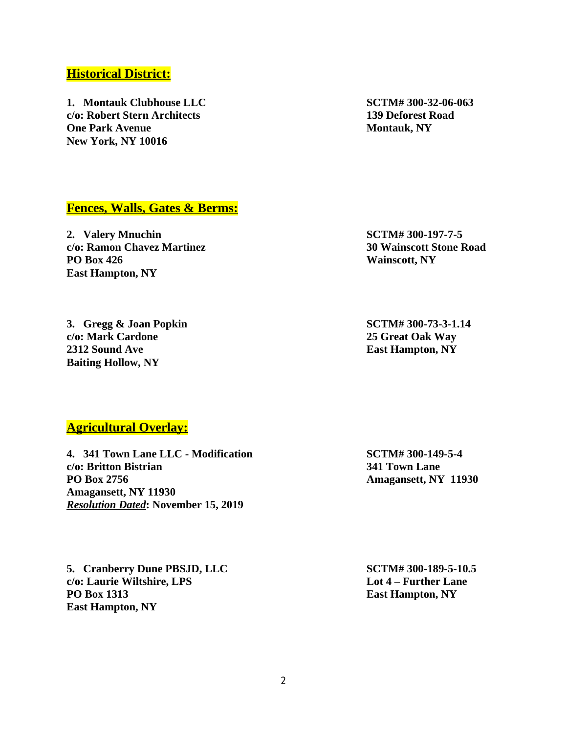# 2

### **Historical District:**

**1. Montauk Clubhouse LLC SCTM# 300-32-06-063 c/o: Robert Stern Architects 139 Deforest Road One Park Avenue Montauk, NY New York, NY 10016**

#### **Fences, Walls, Gates & Berms:**

**2. Valery Mnuchin SCTM# 300-197-7-5 c/o: Ramon Chavez Martinez 30 Wainscott Stone Road PO Box 426 Wainscott, NY East Hampton, NY**

**3. Gregg & Joan Popkin SCTM# 300-73-3-1.14 c/o: Mark Cardone 25 Great Oak Way 2312 Sound Ave East Hampton, NY Baiting Hollow, NY**

#### **Agricultural Overlay:**

**4. 341 Town Lane LLC - Modification SCTM# 300-149-5-4 c/o: Britton Bistrian 341 Town Lane PO Box 2756 Amagansett, NY 11930 Amagansett, NY 11930** *Resolution Dated***: November 15, 2019**

**5. Cranberry Dune PBSJD, LLC SCTM# 300-189-5-10.5 c/o: Laurie Wiltshire, LPS Lot 4 – Further Lane PO Box 1313 East Hampton, NY East Hampton, NY**